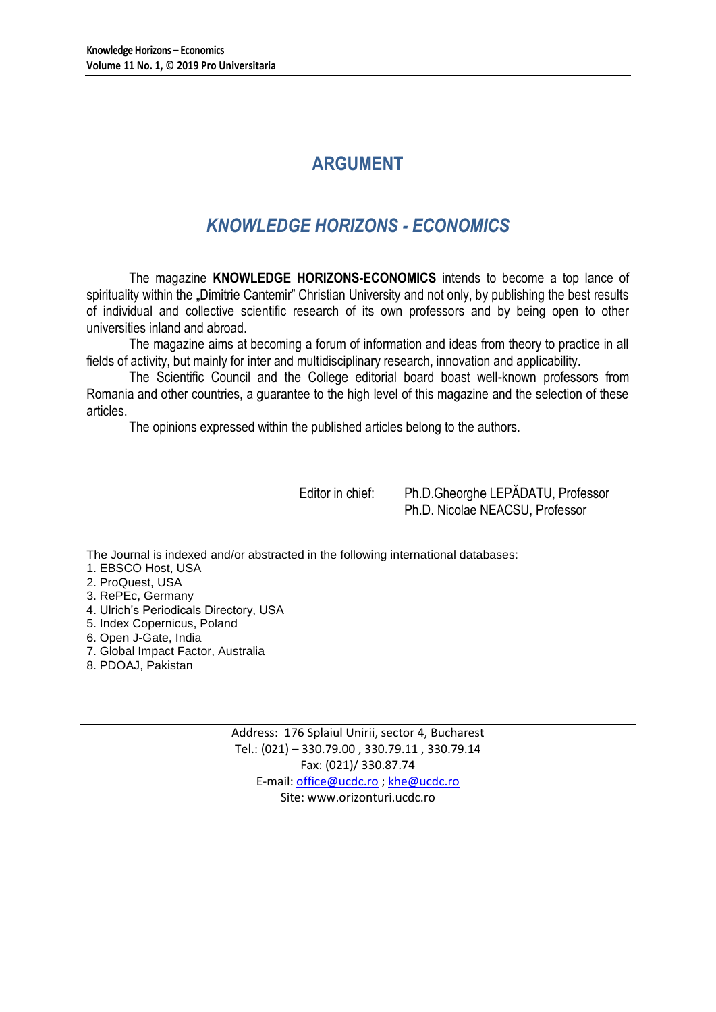# **ARGUMENT**

# *KNOWLEDGE HORIZONS - ECONOMICS*

The magazine **KNOWLEDGE HORIZONS-ECONOMICS** intends to become a top lance of spirituality within the "Dimitrie Cantemir" Christian University and not only, by publishing the best results of individual and collective scientific research of its own professors and by being open to other universities inland and abroad.

The magazine aims at becoming a forum of information and ideas from theory to practice in all fields of activity, but mainly for inter and multidisciplinary research, innovation and applicability.

The Scientific Council and the College editorial board boast well-known professors from Romania and other countries, a guarantee to the high level of this magazine and the selection of these articles.

The opinions expressed within the published articles belong to the authors.

Editor in chief: Ph.D.Gheorghe LEPĂDATU, Professor Ph.D. Nicolae NEACSU, Professor

The Journal is indexed and/or abstracted in the following international databases:

1. EBSCO Host, USA

2. ProQuest, USA

3. RePEc, Germany

4. Ulrich's Periodicals Directory, USA

5. Index Copernicus, Poland

6. Open J-Gate, India

7. Global Impact Factor, Australia

8. PDOAJ, Pakistan

Address: 176 Splaiul Unirii, sector 4, Bucharest Tel.: (021) – 330.79.00 , 330.79.11 , 330.79.14 Fax: (021)/ 330.87.74 E-mail[: office@ucdc.ro](mailto:office@ucdc.ro) [; khe@ucdc.ro](mailto:khe@ucdc.ro) Site: www.orizonturi.ucdc.ro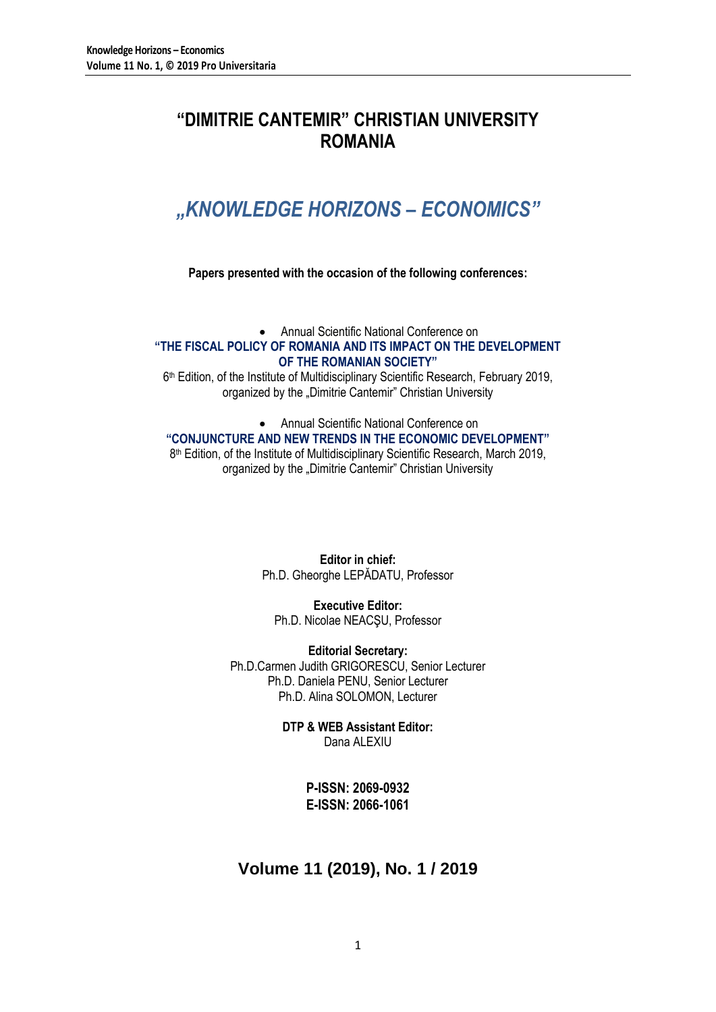# **"DIMITRIE CANTEMIR" CHRISTIAN UNIVERSITY ROMANIA**

# *"KNOWLEDGE HORIZONS – ECONOMICS"*

## **Papers presented with the occasion of the following conferences:**

 Annual Scientific National Conference on **"THE FISCAL POLICY OF ROMANIA AND ITS IMPACT ON THE DEVELOPMENT OF THE ROMANIAN SOCIETY"**

6 th Edition, of the Institute of Multidisciplinary Scientific Research, February 2019, organized by the "Dimitrie Cantemir" Christian University

## Annual Scientific National Conference on **"CONJUNCTURE AND NEW TRENDS IN THE ECONOMIC DEVELOPMENT"** 8 th Edition, of the Institute of Multidisciplinary Scientific Research, March 2019, organized by the "Dimitrie Cantemir" Christian University

**Editor in chief:** Ph.D. Gheorghe LEPĂDATU, Professor

**Executive Editor:** Ph.D. Nicolae NEACŞU, Professor

**Editorial Secretary:** Ph.D.Carmen Judith GRIGORESCU, Senior Lecturer Ph.D. Daniela PENU, Senior Lecturer Ph.D. Alina SOLOMON, Lecturer

> **DTP & WEB Assistant Editor:** Dana ALEXIU

> > **P-ISSN: 2069-0932 E-ISSN: 2066-1061**

## **Volume 11 (2019), No. 1 / 2019**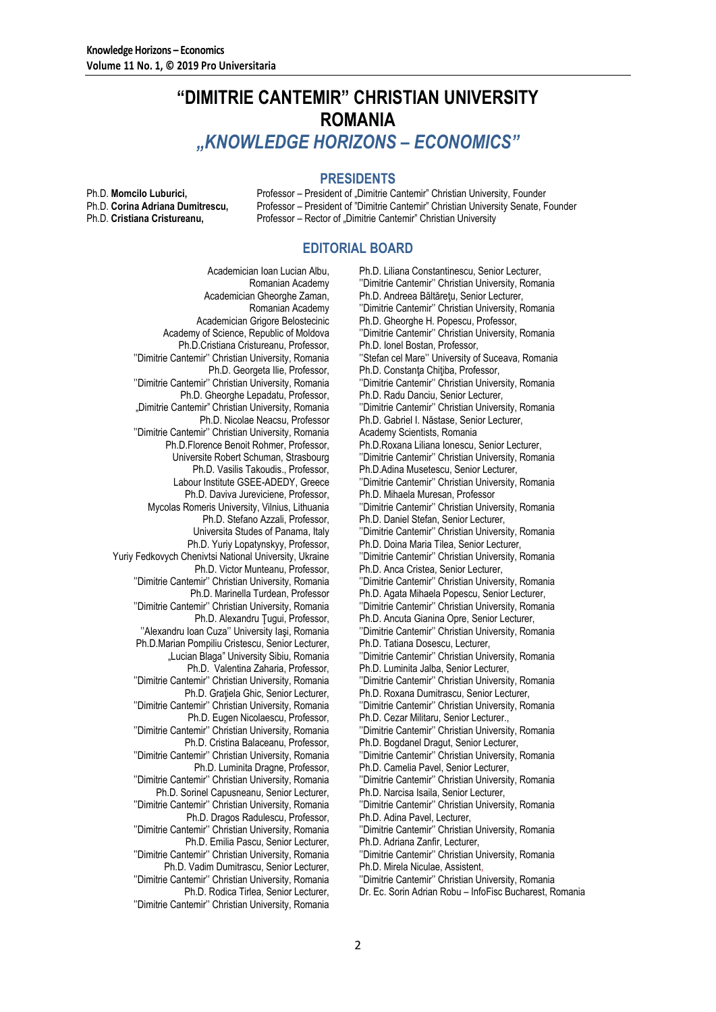## **"DIMITRIE CANTEMIR" CHRISTIAN UNIVERSITY ROMANIA** *"KNOWLEDGE HORIZONS – ECONOMICS"*

## **PRESIDENTS**

Ph.D. **Momcilo Luburici, Professor – President of "Dimitrie Cantemir" Christian University, Founder Ph.D. Corina Adriana Dumitrescu.** Professor – President of "Dimitrie Cantemir" Christian University Senate. F Professor – President of "Dimitrie Cantemir" Christian University Senate, Founder Ph.D. **Cristiana Cristureanu,** Professor – Rector of "Dimitrie Cantemir" Christian University

## **EDITORIAL BOARD**

Academician Ioan Lucian Albu, Romanian Academy Academician Gheorghe Zaman, Romanian Academy Academician Grigore Belostecinic Academy of Science, Republic of Moldova Ph.D.Cristiana Cristureanu, Professor, ''Dimitrie Cantemir'' Christian University, Romania Ph.D. Georgeta Ilie, Professor, ''Dimitrie Cantemir'' Christian University, Romania Ph.D. Gheorghe Lepadatu, Professor, "Dimitrie Cantemir" Christian University, Romania Ph.D. Nicolae Neacsu, Professor ''Dimitrie Cantemir'' Christian University, Romania Ph.D.Florence Benoit Rohmer, Professor, Universite Robert Schuman, Strasbourg Ph.D. Vasilis Takoudis., Professor, Labour Institute GSEE-ADEDY, Greece Ph.D. Daviva Jureviciene, Professor, Mycolas Romeris University, Vilnius, Lithuania Ph.D. Stefano Azzali, Professor, Universita Studes of Panama, Italy Ph.D. Yuriy Lopatynskyy, Professor, Yuriy Fedkovych Chenivtsi National University, Ukraine Ph.D. Victor Munteanu, Professor, ''Dimitrie Cantemir'' Christian University, Romania Ph.D. Marinella Turdean, Professor ''Dimitrie Cantemir'' Christian University, Romania Ph.D. Alexandru Ţugui, Professor, ''Alexandru Ioan Cuza'' University Iaşi, Romania Ph.D.Marian Pompiliu Cristescu, Senior Lecturer, "Lucian Blaga" University Sibiu, Romania Ph.D. Valentina Zaharia, Professor, ''Dimitrie Cantemir'' Christian University, Romania Ph.D. Graţiela Ghic, Senior Lecturer, ''Dimitrie Cantemir'' Christian University, Romania Ph.D. Eugen Nicolaescu, Professor, ''Dimitrie Cantemir'' Christian University, Romania Ph.D. Cristina Balaceanu, Professor, ''Dimitrie Cantemir'' Christian University, Romania Ph.D. Luminita Dragne, Professor, ''Dimitrie Cantemir'' Christian University, Romania Ph.D. Sorinel Capusneanu, Senior Lecturer, ''Dimitrie Cantemir'' Christian University, Romania Ph.D. Dragos Radulescu, Professor, ''Dimitrie Cantemir'' Christian University, Romania Ph.D. Emilia Pascu, Senior Lecturer, ''Dimitrie Cantemir'' Christian University, Romania Ph.D. Vadim Dumitrascu, Senior Lecturer, ''Dimitrie Cantemir'' Christian University, Romania Ph.D. Rodica Tirlea, Senior Lecturer,

''Dimitrie Cantemir'' Christian University, Romania

Ph.D. Liliana Constantinescu, Senior Lecturer, ''Dimitrie Cantemir'' Christian University, Romania Ph.D. Andreea Băltăreţu, Senior Lecturer, ''Dimitrie Cantemir'' Christian University, Romania Ph.D. Gheorghe H. Popescu, Professor, ''Dimitrie Cantemir'' Christian University, Romania Ph.D. Ionel Bostan, Professor, ''Stefan cel Mare'' University of Suceava, Romania Ph.D. Constanta Chitiba, Professor, ''Dimitrie Cantemir'' Christian University, Romania Ph.D. Radu Danciu, Senior Lecturer, ''Dimitrie Cantemir'' Christian University, Romania Ph.D. Gabriel I. Năstase, Senior Lecturer, Academy Scientists, Romania Ph.D.Roxana Liliana Ionescu, Senior Lecturer, ''Dimitrie Cantemir'' Christian University, Romania Ph.D.Adina Musetescu, Senior Lecturer, ''Dimitrie Cantemir'' Christian University, Romania Ph.D. Mihaela Muresan, Professor ''Dimitrie Cantemir'' Christian University, Romania Ph.D. Daniel Stefan, Senior Lecturer, ''Dimitrie Cantemir'' Christian University, Romania Ph.D. Doina Maria Tilea, Senior Lecturer, ''Dimitrie Cantemir'' Christian University, Romania Ph.D. Anca Cristea, Senior Lecturer, ''Dimitrie Cantemir'' Christian University, Romania Ph.D. Agata Mihaela Popescu, Senior Lecturer, ''Dimitrie Cantemir'' Christian University, Romania Ph.D. Ancuta Gianina Opre, Senior Lecturer, ''Dimitrie Cantemir'' Christian University, Romania Ph.D. Tatiana Dosescu, Lecturer, ''Dimitrie Cantemir'' Christian University, Romania Ph.D. Luminita Jalba, Senior Lecturer, ''Dimitrie Cantemir'' Christian University, Romania Ph.D. Roxana Dumitrascu, Senior Lecturer, ''Dimitrie Cantemir'' Christian University, Romania Ph.D. Cezar Militaru, Senior Lecturer., ''Dimitrie Cantemir'' Christian University, Romania Ph.D. Bogdanel Dragut, Senior Lecturer, ''Dimitrie Cantemir'' Christian University, Romania Ph.D. Camelia Pavel, Senior Lecturer, ''Dimitrie Cantemir'' Christian University, Romania Ph.D. Narcisa Isaila, Senior Lecturer, ''Dimitrie Cantemir'' Christian University, Romania Ph.D. Adina Pavel, Lecturer, ''Dimitrie Cantemir'' Christian University, Romania Ph.D. Adriana Zanfir, Lecturer, ''Dimitrie Cantemir'' Christian University, Romania Ph.D. Mirela Niculae, Assistent,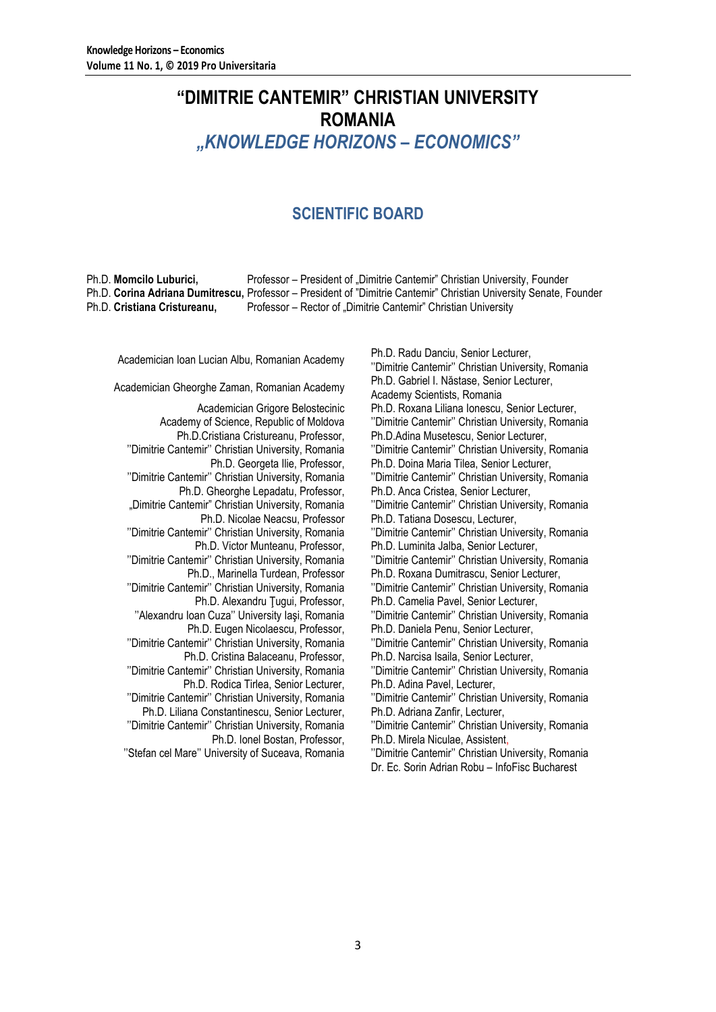# **"DIMITRIE CANTEMIR" CHRISTIAN UNIVERSITY ROMANIA** *"KNOWLEDGE HORIZONS – ECONOMICS"*

## **SCIENTIFIC BOARD**

Ph.D. **Momcilo Luburici,** Professor – President of "Dimitrie Cantemir" Christian University, Founder Ph.D. **Corina Adriana Dumitrescu,** Professor – President of "Dimitrie Cantemir" Christian University Senate, Founder Ph.D. **Cristiana Cristureanu,** Professor – Rector of "Dimitrie Cantemir" Christian University

Academician Ioan Lucian Albu, Romanian Academy<br>
Ph.D. Radu Danciu, Senior Lecturer, Academy Philippine University Orginalistics University

Academician Grigore Belostecinic Academy of Science, Republic of Moldova Ph.D.Cristiana Cristureanu, Professor, ''Dimitrie Cantemir'' Christian University, Romania Ph.D. Georgeta Ilie, Professor, ''Dimitrie Cantemir'' Christian University, Romania Ph.D. Gheorghe Lepadatu, Professor, "Dimitrie Cantemir" Christian University, Romania Ph.D. Nicolae Neacsu, Professor ''Dimitrie Cantemir'' Christian University, Romania Ph.D. Victor Munteanu, Professor, ''Dimitrie Cantemir'' Christian University, Romania Ph.D., Marinella Turdean, Professor ''Dimitrie Cantemir'' Christian University, Romania Ph.D. Alexandru Ţugui, Professor, ''Alexandru Ioan Cuza'' University Iaşi, Romania Ph.D. Eugen Nicolaescu, Professor, ''Dimitrie Cantemir'' Christian University, Romania Ph.D. Cristina Balaceanu, Professor, ''Dimitrie Cantemir'' Christian University, Romania Ph.D. Rodica Tirlea, Senior Lecturer, ''Dimitrie Cantemir'' Christian University, Romania Ph.D. Liliana Constantinescu, Senior Lecturer, ''Dimitrie Cantemir'' Christian University, Romania Ph.D. Ionel Bostan, Professor, ''Stefan cel Mare'' University of Suceava, Romania

''Dimitrie Cantemir'' Christian University, Romania Academician Gheorghe Zaman, Romanian Academy Ph.D. Gabriel I. Năstase, Senior Lecturer, Academy Scientists, Romania Ph.D. Roxana Liliana Ionescu, Senior Lecturer, ''Dimitrie Cantemir'' Christian University, Romania Ph.D.Adina Musetescu, Senior Lecturer, ''Dimitrie Cantemir'' Christian University, Romania Ph.D. Doina Maria Tilea, Senior Lecturer, ''Dimitrie Cantemir'' Christian University, Romania Ph.D. Anca Cristea, Senior Lecturer, ''Dimitrie Cantemir'' Christian University, Romania Ph.D. Tatiana Dosescu, Lecturer, ''Dimitrie Cantemir'' Christian University, Romania Ph.D. Luminita Jalba, Senior Lecturer, ''Dimitrie Cantemir'' Christian University, Romania Ph.D. Roxana Dumitrascu, Senior Lecturer, ''Dimitrie Cantemir'' Christian University, Romania Ph.D. Camelia Pavel, Senior Lecturer, ''Dimitrie Cantemir'' Christian University, Romania Ph.D. Daniela Penu, Senior Lecturer, ''Dimitrie Cantemir'' Christian University, Romania Ph.D. Narcisa Isaila, Senior Lecturer, ''Dimitrie Cantemir'' Christian University, Romania Ph.D. Adina Pavel, Lecturer, ''Dimitrie Cantemir'' Christian University, Romania Ph.D. Adriana Zanfir, Lecturer, ''Dimitrie Cantemir'' Christian University, Romania Ph.D. Mirela Niculae, Assistent, ''Dimitrie Cantemir'' Christian University, Romania Dr. Ec. Sorin Adrian Robu – InfoFisc Bucharest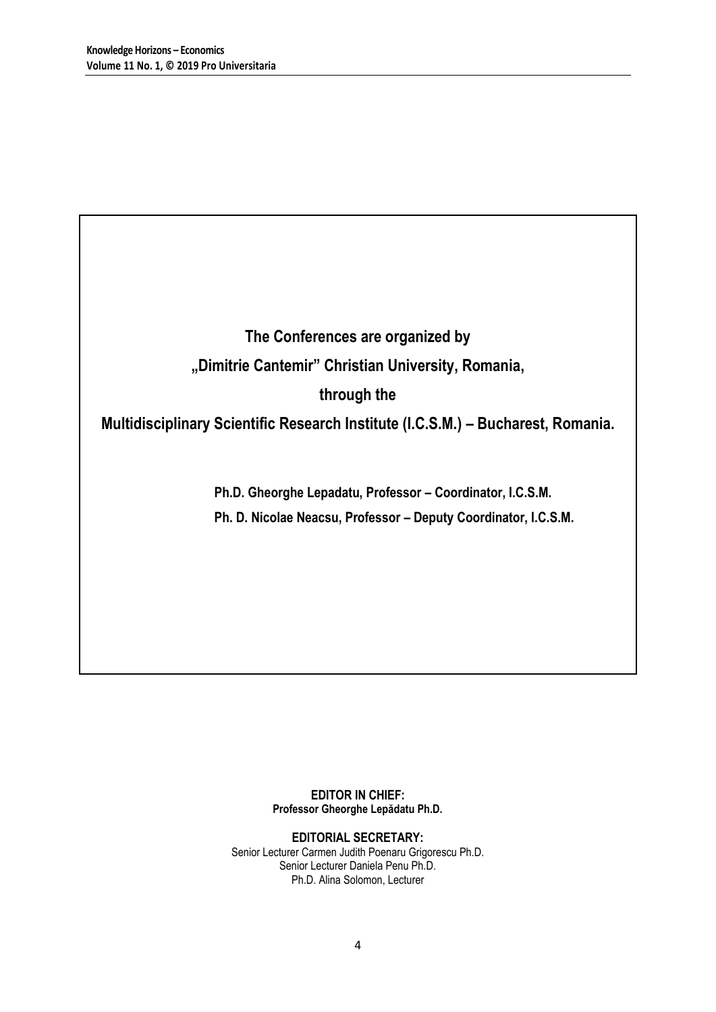**The Conferences are organized by "Dimitrie Cantemir" Christian University, Romania, through the** 

**Multidisciplinary Scientific Research Institute (I.C.S.M.) – Bucharest, Romania.**

**Ph.D. Gheorghe Lepadatu, Professor – Coordinator, I.C.S.M. Ph. D. Nicolae Neacsu, Professor – Deputy Coordinator, I.C.S.M.**

> **EDITOR IN CHIEF: Professor Gheorghe Lepădatu Ph.D.**

**EDITORIAL SECRETARY:** Senior Lecturer Carmen Judith Poenaru Grigorescu Ph.D. Senior Lecturer Daniela Penu Ph.D. Ph.D. Alina Solomon, Lecturer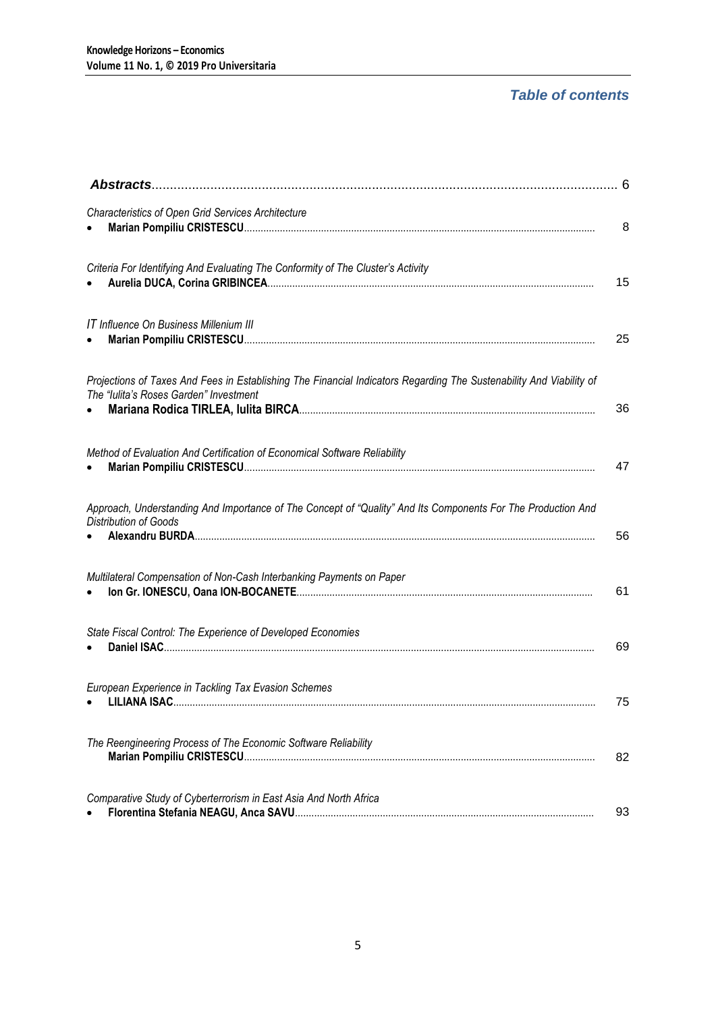## *Table of contents*

| <b>Characteristics of Open Grid Services Architecture</b>                                                                                                     | 8  |
|---------------------------------------------------------------------------------------------------------------------------------------------------------------|----|
| Criteria For Identifying And Evaluating The Conformity of The Cluster's Activity                                                                              | 15 |
| <b>IT Influence On Business Millenium III</b>                                                                                                                 | 25 |
| Projections of Taxes And Fees in Establishing The Financial Indicators Regarding The Sustenability And Viability of<br>The "Iulita's Roses Garden" Investment | 36 |
| Method of Evaluation And Certification of Economical Software Reliability                                                                                     | 47 |
| Approach, Understanding And Importance of The Concept of "Quality" And Its Components For The Production And<br>Distribution of Goods                         | 56 |
| Multilateral Compensation of Non-Cash Interbanking Payments on Paper                                                                                          | 61 |
| State Fiscal Control: The Experience of Developed Economies                                                                                                   | 69 |
| European Experience in Tackling Tax Evasion Schemes                                                                                                           | 75 |
| The Reengineering Process of The Economic Software Reliability                                                                                                | 82 |
| Comparative Study of Cyberterrorism in East Asia And North Africa                                                                                             | 93 |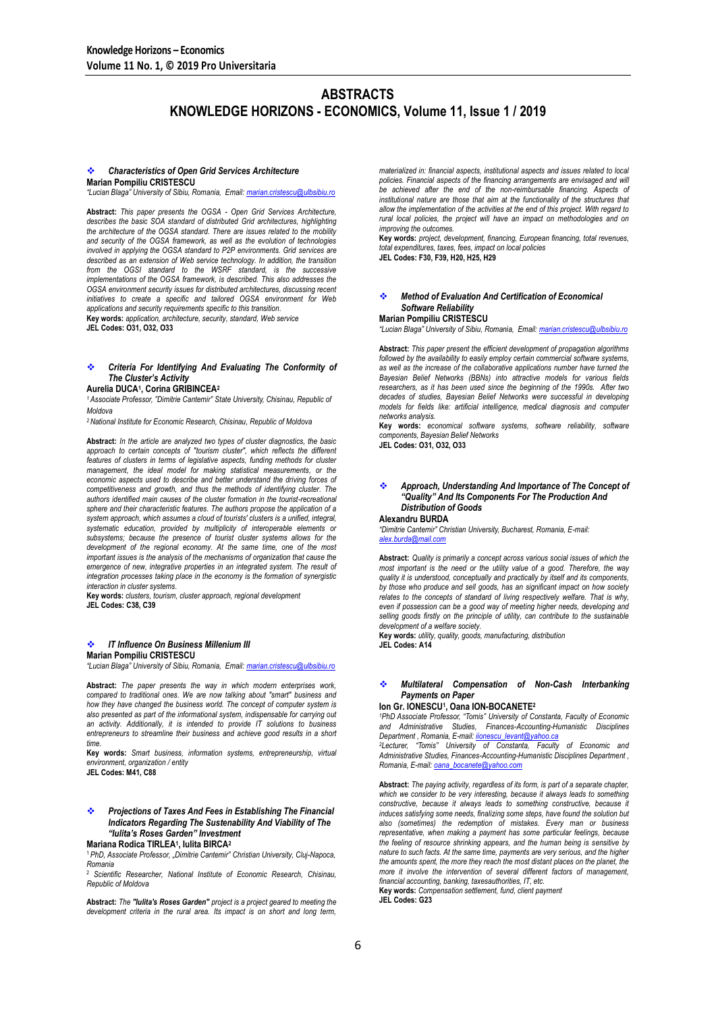## **ABSTRACTS KNOWLEDGE HORIZONS - ECONOMICS, Volume 11, Issue 1 / 2019**

#### *Characteristics of Open Grid Services Architecture* **Marian Pompiliu CRISTESCU**

*"Lucian Blaga" University of Sibiu, Romania, Email: [marian.cristescu@ulbsibiu.ro](mailto:marian.cristescu@ulbsibiu.ro)*

**Abstract:** *This paper presents the OGSA - Open Grid Services Architecture, describes the basic SOA standard of distributed Grid architectures, highlighting the architecture of the OGSA standard. There are issues related to the mobility and security of the OGSA framework, as well as the evolution of technologies involved in applying the OGSA standard to P2P environments. Grid services are described as an extension of Web service technology. In addition, the transition from the OGSI standard to the WSRF standard, is the successive implementations of the OGSA framework, is described. This also addresses the OGSA environment security issues for distributed architectures, discussing recent initiatives to create a specific and tailored OGSA environment for Web applications and security requirements specific to this transition.* **Key words:** *application, architecture, security, standard, Web service*

**JEL Codes: O31, O32, O33**

## *Criteria For Identifying And Evaluating The Conformity of The Cluster's Activity*

**Aurelia DUCA<sup>1</sup> , Corina GRIBINCEA<sup>2</sup>**

*<sup>1</sup>Associate Professor, "Dimitrie Cantemir" State University, Chisinau, Republic of Moldova*

*<sup>2</sup>National Institute for Economic Research, Chisinau, Republic of Moldova*

**Abstract:** *In the article are analyzed two types of cluster diagnostics, the basic*  approach to certain concepts of "tourism cluster", which reflects the different<br>features of clusters in terms of legislative aspects, funding methods for cluster management, the ideal model for making statistical measurements, or the economic aspects used to describe and better understand the driving forces of *competitiveness and growth, and thus the methods of identifying cluster. The authors identified main causes of the cluster formation in the tourist-recreational sphere and their characteristic features. The authors propose the application of a system approach, which assumes a cloud of tourists' clusters is a unified, integral, systematic education, provided by multiplicity of interoperable elements or subsystems; because the presence of tourist cluster systems allows for the development of the regional economy. At the same time, one of the most important issues is the analysis of the mechanisms of organization that cause the*  emergence of new, integrative properties in an integrated system. The result of *integration processes taking place in the economy is the formation of synergistic interaction in cluster systems.*

**Key words:** *clusters, tourism, cluster approach, regional development* **JEL Codes: C38, C39**

## *IT Influence On Business Millenium III*

**Marian Pompiliu CRISTESCU**

*"Lucian Blaga" University of Sibiu, Romania, Email: [marian.cristescu@ulbsibiu.ro](mailto:marian.cristescu@ulbsibiu.ro)*

**Abstract:** *The paper presents the way in which modern enterprises work, compared to traditional ones. We are now talking about "smart" business and how they have changed the business world. The concept of computer system is also presented as part of the informational system, indispensable for carrying out an activity. Additionally, it is intended to provide IT solutions to business entrepreneurs to streamline their business and achieve good results in a short time.*

**Key words:** *Smart business, information systems, entrepreneurship, virtual environment, organization / entity*

**JEL Codes: M41, C88**

## *Projections of Taxes And Fees in Establishing The Financial Indicators Regarding The Sustenability And Viability of The "Iulita's Roses Garden" Investment*

#### **Mariana Rodica TIRLEA<sup>1</sup> , Iulita BIRCA<sup>2</sup>**

<sup>1</sup>*PhD, Associate Professor, "Dimitrie Cantemir" Christian University, Cluj-Napoca, Romania*

<sup>2</sup> *Scientific Researcher, National Institute of Economic Research, Chisinau, Republic of Moldova*

**Abstract:** *The "Iulita's Roses Garden" project is a project geared to meeting the development criteria in the rural area. Its impact is on short and long term,* 

*materialized in: financial aspects, institutional aspects and issues related to local*  policies. Financial aspects of the financing arrangements are envisaged and will *be achieved after the end of the non-reimbursable financing. Aspects of institutional nature are those that aim at the functionality of the structures that allow the implementation of the activities at the end of this project. With regard to rural local policies, the project will have an impact on methodologies and on improving the outcomes.*

**Key words:** *project, development, financing, European financing, total revenues, total expenditures, taxes, fees, impact on local policies* **JEL Codes: F30, F39, H20, H25, H29**

### *Method of Evaluation And Certification of Economical Software Reliability*

## **Marian Pompiliu CRISTESCU**

*"Lucian Blaga" University of Sibiu, Romania, Email: [marian.cristescu@ulbsibiu.ro](mailto:marian.cristescu@ulbsibiu.ro)*

**Abstract:** *This paper present the efficient development of propagation algorithms followed by the availability to easily employ certain commercial software systems, as well as the increase of the collaborative applications number have turned the Bayesian Belief Networks (BBNs) into attractive models for various fields researchers, as it has been used since the beginning of the 1990s. After two decades of studies, Bayesian Belief Networks were successful in developing models for fields like: artificial intelligence, medical diagnosis and computer networks analysis.*

**Key words:** *economical software systems, software reliability, software components, Bayesian Belief Networks* **JEL Codes: O31, O32, O33**

### *Approach, Understanding And Importance of The Concept of "Quality" And Its Components For The Production And Distribution of Goods*

**Alexandru BURDA**

*"Dimitrie Cantemir" Christian University, Bucharest, Romania, E-mail: [alex.burda@mail.com](mailto:alex.burda@mail.com)*

**Abstract:** *Quality is primarily a concept across various social issues of which the most important is the need or the utility value of a good. Therefore, the way quality it is understood, conceptually and practically by itself and its components, by those who produce and sell goods, has an significant impact on how society relates to the concepts of standard of living respectively welfare. That is why, even if possession can be a good way of meeting higher needs, developing and selling goods firstly on the principle of utility, can contribute to the sustainable development of a welfare society.*

**Key words:** *utility, quality, goods, manufacturing, distribution* **JEL Codes: A14**

## *Multilateral Compensation of Non-Cash Interbanking Payments on Paper*

#### **Ion Gr. IONESCU<sup>1</sup> , Oana ION-BOCANETE<sup>2</sup>**

*<sup>1</sup>PhD Associate Professor, "Tomis" University of Constanta, Faculty of Economic and Administrative Studies, Finances-Accounting-Humanistic Disciplines Department , Romania, E-mail[: iionescu\\_levant@yahoo.ca](mailto:iionescu_levant@yahoo.ca)*

*<sup>2</sup>Lecturer, "Tomis" University of Constanta, Faculty of Economic and Administrative Studies, Finances-Accounting-Humanistic Disciplines Department , Romania, E-mail[: oana\\_bocanete@yahoo.com](mailto:oana_bocanete@yahoo.com)*

**Abstract:** *The paying activity, regardless of its form, is part of a separate chapter,*  which we consider to be very interesting, because it always leads to something constructive, because it always leads to something constructive, because it *induces satisfying some needs, finalizing some steps, have found the solution but also (sometimes) the redemption of mistakes. Every man or business representative, when making a payment has some particular feelings, because the feeling of resource shrinking appears, and the human being is sensitive by nature to such facts. At the same time, payments are very serious, and the higher the amounts spent, the more they reach the most distant places on the planet, the more it involve the intervention of several different factors of management, financial accounting, banking, taxesauthorities, IT, etc.*

**Key words:** *Compensation settlement, fund, client payment* **JEL Codes: G23**